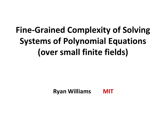# **Fine-Grained Complexity of Solving Systems of Polynomial Equations (over small finite fields)**

**Ryan Williams MIT**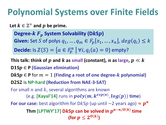## **Polynomial Systems over Finite Fields**

Let  $k \in \mathbb{Z}^+$  and  $p$  be prime.

**Degree-** $k F_p$  System Solvability (D $k$ S $p$ ) **Given:** Set S of polys  $q_1, ..., q_m \in F_p[x_1, ..., x_n]$ ,  $deg(q_i) \leq k$ **Decide:** Is  $Z(S) = \{a \in F_p^n \mid \forall i, q_i(a) = 0\}$  empty?

This talk: think of  $p$  and  $k$  as small (constant),  $n$  as large,  $p \ll k$  $D1Sp \in P$  (Gaussian elimination) **DKS** $p$  ∈ **P** for  $m = 1$  (Finding a root of one degree- $k$  polynomial) **DS** is **NP-hard (Reduction from NAE-3-SAT)** For small  $n$  and  $k$ , several algorithms are known (e.g. **[Kayal'14]** runs in  $\boldsymbol{poly(m,k^{exp(n)},log(p))}$  time) **For our case:** best algorithm for D $k$ S $p$  (up until ~2 years ago)  $\approx p^n$  $\mathsf{Thm}\left[\textsf{LPTWY'17}\right]$   $\textsf{D}\textit{kSp}$  can be solved in  $p^{n-n/O(k)}$  time (for  $p \leq 2^{\textit{O}(k)}$ )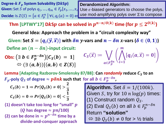**Degree-** $k$   $F_p$  System Solvability (D $k$ S $p$ ) **Given:** Set S of polys  $q_1, ..., q_m \in F_p[x_1, ..., x_n]$  Use  $\epsilon$ -biased generators to choose the polys, **Decide:** Is  $Z(S) = \{a \in F_p^n \mid \forall i, q_i(a) = 0\}$  er use mod-amplifying polys over  $\mathbb{Z}$  to compose **Derandomized Algorithm:**

Thm [LPTWY'17]  $DkSp$  can be solved in  $p^{n-n/O(k)}$  time (for  $p \leq 2^{O(k)}$ )

**General Idea: Approach the problem in a "circuit complexity way"**

Given: Set  $S = \{q_i(\vec{y}, \vec{x})\}$  with  $\delta n$  y-vars and  $n - \delta n$  x-vars ( $\delta \in (0, 1)$ ) **Define an**  $(n - \delta n)$ **-input circuit:**  $\boldsymbol{m}$ 

**Obs:** 
$$
(\exists b \in F_p^{n-\delta n}) [C_S(b) = 1]
$$
  
 $\Leftrightarrow (\exists (a, b)) [(a, b) \in Z(S)]$ 

Define an 
$$
(n - \delta n)
$$
-input circuit:

\n**Obs:**  $(\exists b \in F_p^{n-\delta n}) [C_S(b) = 1]$ 

\n $\Leftrightarrow (\exists (a, b)) [(a, b) \in Z(S)]$ 

\n $\Leftrightarrow (d, b) \in Z(S)$ 

**Lemma [Adapting Razborov-Smolensky 87/88]: Can** *randomly* **reduce to an**   $\bm{F}_{\bm{p}}$ -poly  $\bm{Q}_{\mathcal{S}}$  of degree  $\approx \bm{p}\bm{\delta n}\bm{k}$  such that for all  $\bm{b}\in \bm{F}^{\bm{n}-\bm{\delta n}}_{\bm{p}}$ ,

$$
C_S(b) = 1 \Rightarrow Pr[Q_S(b) \neq 0] > \frac{2}{3}
$$
  

$$
C_S(b) = 0 \Rightarrow Pr[Q_S(b) = 0] < \frac{1}{3}
$$

**(1) doesn't take too long for "small" (Q has degree**  $\approx pn/100$ ) (2) can be done in  $\approx p^{n-\delta n}$  time by a **divide-and-conquer approach** **Algorithm.** Set  $\delta = 1/(100k)$ . Given S, try for  $10 n \log(p)$  times: (1) Construct random  $Q_S$ . (2) Eval  $Q_S(b)$  on all  $b \in F_p^{n-\delta n}$ Return **"solution"**  $\Leftrightarrow$   $\exists b \ Q_{S}(b) \neq 0$  for  $> \frac{1}{2}$  trials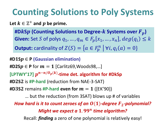## **Counting Solutions to Poly Systems**

Let  $k \in \mathbb{Z}^+$  and  $p$  be prime.

**#DS (Counting Solutions to Degree- Systems over ) Given:** Set S of polys  $q_1, ..., q_m \in F_p[x_1, ..., x_n]$ ,  $deg(q_i) \leq k$ **Output:** cardinality of  $Z(S) = \{a \in F_p^n \mid \forall i, q_i(a) = 0\}$ 

**#DS** ∈ **P (Gaussian elimination)** #D2S $p$  ∈ P for  $m = 1$  [Carlitz69, Woods98,...]  $\left[$ LPTWY'17]  $p^{n-n/O_p(k)}$ -time det. algorithm for #DkSp **#DS** is **#P-hard** (reduction from NAE-3-SAT) **#D3S2** remains **#P-hard even for**  $m = 1$  ([EK'90]) … but the reduction (from 3SAT) blows up # of variables *How hard is it to count zeroes of an*  $O(1)$ *-degree*  $F<sub>2</sub>$ *-polynomial? Might we expect a* 1.99<sup>n</sup> time algorithm? Recall: *finding* a zero of one polynomial is relatively easy!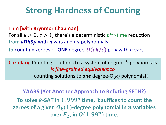### **Strong Hardness of Counting**

**Thm [with Brynmor Chapman]**

For all  $\epsilon > 0$ ,  $c > 1$ , there's a deterministic  $p^{\epsilon n}$ -time reduction from  $\#DkSp$  with  $n$  vars and  $cn$  polynomials

**to** counting zeroes of **ONE** degree- $O(ck/\epsilon)$  poly with *n* vars

**Corollary** Counting solutions to a system of degree-k polynomials *is fine-grained equivalent to*

counting solutions to **one** degree- $O(k)$  polynomial!

**YAARS (Yet Another Approach to Refuting SETH?)** To solve  $k$ -SAT in  $1$ .  $999^n$  time, it suffices to count the **zeroes of a given**  $O_k(1)$ **-degree polynomial in** *n* **variables**  $\bm{o}$ **ver**  $\bm{F}_2$ , in  $\bm{O}(1.99^n)$  time.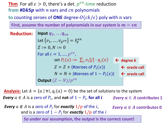Thm For all  $\epsilon > 0$ , there's a det.  $p^{\epsilon n}$ -time reduction **from #D** $\mathbf{k}$ **Sp** with  $n$  vars and  $cn$  polynomials

**to** counting zeroes of **ONE** degree- $O(ck/\epsilon)$  poly with *n* vars

First, assume the number of polynomials in our system is  $m = \epsilon n$ 

| <b>Reduction:</b> | Input $q_1, , q_{\epsilon n}$                     |                          |  |
|-------------------|---------------------------------------------------|--------------------------|--|
|                   | Let $\{v_1, , v_p\epsilon n\} = F_p^{\epsilon n}$ |                          |  |
|                   | $Z := 0, N := 0$                                  |                          |  |
|                   | For all $i = 1, , p^{\epsilon n}$ ,               |                          |  |
|                   | set $P_i(x) := \sum_j v_i[j] \cdot q_j(x)$        | $\leftarrow$ degree $k$  |  |
|                   | $Z = Z +$ (#zeroes of $P_i(x)$ )                  | $\leftarrow$ oracle call |  |
|                   | $N = N +$ (#zeroes of $1 - P_i(x)$ )              | $\leftarrow$ oracle call |  |
|                   | <b>Output</b> $(Z - N)/p^{\epsilon n}$            |                          |  |

**Analysis:** Let  $A = \{a \mid \forall i, q_i(a) = 0\}$  be the set of solutions to the system *Every*  $a \in A$  is a zero of  $P_i$ , and not of  $1 - P_i$ , for all  $i$ *Every*  $a \in A$  contributes 1

*Every*  $a \notin A$  is a zero of  $P_i$  for *exactly*  $1/p$  of the  $i$ , and is a zero of  $1-P_i$  for *exactly*  $1/p$  *of the*  $i$ 

*Every*  $a \notin A$  contributes 0

**So under our assumption, the output is the correct count!**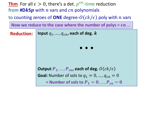Thm For all  $\epsilon > 0$ , there's a det.  $p^{\epsilon n}$ -time reduction from  $\text{#D}$ *kSp* with *n* vars and *cn* polynomials

**to** counting zeroes of **ONE** degree- $O(ck/\epsilon)$  poly with *n* vars

Now we reduce to the case where the number of polys =  $\epsilon n$  ...

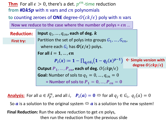Thm For all  $\epsilon > 0$ , there's a det.  $p^{\epsilon n}$ -time reduction **from**  $\#DkSp$  with *n* vars and *cn* polynomials

**to** counting zeroes of **ONE** degree- $O(ck/\epsilon)$  poly with *n* vars

Now we reduce to the case where the number of polys =  $\epsilon n$  ...

**Reduction:** 

**First try:**

Input  $q_1, ..., q_{cn}$ , each of deg.  $\boldsymbol{k}$ Partition the set of polys into groups  $G_1, ..., G_{\epsilon n}$ , where each  $G_i$  has  $\boldsymbol{O}(\boldsymbol{c}/\boldsymbol{\epsilon})$  polys. **For all**  $i = 1, ..., \epsilon n$  $P_i(x) \coloneqq 1 - \prod_{q_j \in G_i} (1 - q_j(x)^{p-1})$ Output  $P_1, ..., P_{\epsilon n}$ , each of deg.  $O(c k p / \epsilon)$ **Goal:** Number of sols to  $q_1 = 0, ..., q_{cn} = 0$ = Number of sols to  $P_1 = 0, ..., P_{\epsilon n} = 0$ ← Simple version with **degree**  $O(ckp/\epsilon)$ 

**<u>Analysis:</u>** For all  $a \in F_p^n$ , and all  $i$ ,  $P_i(a) = 0$  ⇔ for all  $q_j \in G_i$ ,  $q_j(a) = 0$ 

So  $\alpha$  is a solution to the original system  $\Leftrightarrow \alpha$  is a solution to the new system!

**Final Reduction:** Run the above reduction to get  $\epsilon n$  polys, then run the reduction from the previous slide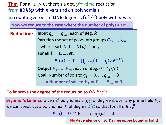Thm For all  $\epsilon > 0$ , there's a det.  $p^{\epsilon n}$ -time reduction **from**  $\#DkSp$  with *n* vars and *cn* polynomials

**to** counting zeroes of **ONE** degree- $O(ck/\epsilon)$  poly with *n* vars

Now we reduce to the case where the number of polys =  $\epsilon n$  ...

**Reduction:** 

Input  $q_1, ..., q_{cn}$ , each of deg.  $\boldsymbol{k}$ Partition the set of polys into groups  $G_1, ..., G_{\epsilon n}$ , where each  $G_i$  has  $\boldsymbol{O}(\boldsymbol{c}/\boldsymbol{\epsilon})$  polys. **For all**  $i = 1, ..., \epsilon n$  $P_i(x) \coloneqq 1 - \prod_{p_j \in G_i} (1 - q_j(x)^{p-1})$ Output  $P_1, ..., P_{\epsilon n}$ , each of deg.  $O(c k p / \epsilon)$ **Goal:** Number of sols to  $q_1 = 0, ..., q_{cn} = 0$ = Number of sols to  $P_1 = 0, ..., P_{\epsilon n} = 0$ 

#### To improve the degree of the reduction to  $O(ck/\epsilon)$ :

**Brynmor's Lemma:** Given  $2^t$  polynomials  $\{q_i\}$  of degree  $d$  over any prime field  $F_p$ , we can construct a polynomial  $\boldsymbol{P}$  of degree  $\boldsymbol{2^t d}$  so that for all  $a \in F_p^n$  ,

 $P(a) = 0 \Leftrightarrow$  for all j,  $q_i(a) = 0$ 

**No dependence on** . **Degree upper bound is tight!**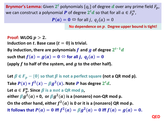**Brynmor's Lemma:** Given  $2^t$  polynomials  $\{q_i\}$  of degree  $d$  over any prime field  $F_p$ , we can construct a polynomial  $\boldsymbol{P}$  of degree  $\boldsymbol{2^t d}$  so that for all  $a \in \mathit{F}_p^n$  ,

 $P(a) = 0 \Leftrightarrow$  for all j,  $q_i(a) = 0$ 

**No dependence on** . **Degree upper bound is tight!**

**Proof:** WLOG  $p > 2$ . Induction on  $t$ . Base case  $(t = 0)$  is trivial. By induction, there are polynomials  $f$  and  $g$  of degree  $2^{t-1}d$ such that  $f(a) = g(a) = 0 \Leftrightarrow$  for all *j*,  $q_i(a) = 0$ (apply  $f$  to half of the system, and  $g$  to the other half).

Let  $\beta \in F_p - \{0\}$  so that  $\beta$  is not a perfect square (not a QR mod p). Take  $P(x)$  =  $f^2(x) - \beta g^2(x)$ . Note P has degree  $2^t d$ . Let  $a \in F_p^n$ . Since  $\beta$  is a  $not$  a QR mod p, either  $\beta g^2(a)$  = 0, or  $\beta g^2(a)$  is a (nonzero) non-QR mod p. On the other hand, either  $f^2(a)$  is 0 or it is a (nonzero) QR mod p. It follows that  $P(a) = 0$  iff  $f^2(a) = \beta g^2(a) = 0$  iff  $f(a) = g(a) = 0$ .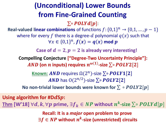### **(Unconditional) Lower Bounds from Fine-Grained Counting**

 $\sum$ ∘  $\textit{POLYd[p]}$ :

**Real-valued linear combinations** of functions  $f: \{0,1\}^n \rightarrow \{0,1,\ldots,p-1\}$ where for every f there is a degree-d polynomial  $q(x)$  such that  $\forall x \in \{0,1\}^n$ ,  $f(x) = q(x)$  mod  $p$ 

**Case of**  $d = 2$ ,  $p = 2$  is already very interesting!

**Compelling Conjecture ["Degree-Two Uncertainty Principle"]:**   $\boldsymbol{AND}$  (on  $\boldsymbol{n}$  inputs) requires  $\boldsymbol{n}^{\boldsymbol{\omega}(1)}$ -size  $\sum$ ∘  $\boldsymbol{POLY2}[2]$ 

> **Known: AND** requires Ω(2<sup>n</sup>)-size ∑º POLY1[2  $\boldsymbol{AND}$  has  $\mathrm{O}(2^{n/2})$ -size  $\sum$ ∘  $\boldsymbol{POLY2}[2]$

**No non-trivial lower bounds were known for**  $\sum \circ \textbf{POLY2[p]}$ 

**Using algorithm for #D** $d$ **S** $p$ :  $\textbf{Thm}$  [W'18]  $\forall d, k, \forall p$  prime,  $\exists f_k \in \mathit{NP}$  without  $n^k\text{-size} \sum \circ \mathit{POLYd}[p]$ 

> **Recall: It is a** *major* **open problem to prove**  $\exists f \in \mathit{NP}$  without  $n^k$ -size (unrestricted) circuits